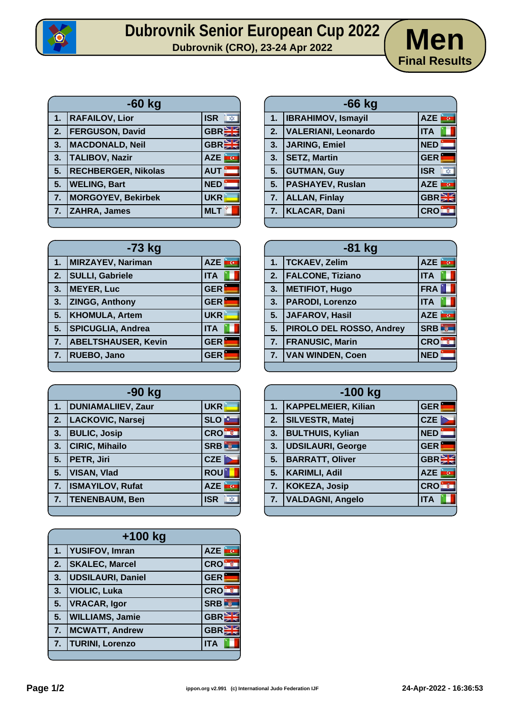

## **Dubrovnik Senior European Cup 2022**<br>Dubrovnik (CRO), 23-24 Apr 2022<br>**Dubrovnik (CRO), 23-24 Apr 2022**



| <b>ISR</b><br>$\chi$                     |
|------------------------------------------|
| <b>GBRE</b><br><b>FERGUSON, David</b>    |
| <b>GBREE</b><br><b>MACDONALD, Neil</b>   |
| <b>AZE</b><br>ū                          |
| <b>AUT</b><br><b>RECHBERGER, Nikolas</b> |
| <b>NED</b>                               |
| <b>UKR</b><br><b>MORGOYEV, Bekirbek</b>  |
| <b>MLT</b>                               |
|                                          |

| -73 kg |                            |                              |
|--------|----------------------------|------------------------------|
| 1.     | <b>MIRZAYEV, Nariman</b>   | <b>AZE</b><br>$\overline{G}$ |
| 2.     | <b>SULLI, Gabriele</b>     | <b>ITA</b>                   |
| 3.     | <b>MEYER, Luc</b>          | <b>GER</b>                   |
| 3.     | <b>ZINGG, Anthony</b>      | <b>GER</b>                   |
| 5.     | <b>KHOMULA, Artem</b>      | <b>UKR</b>                   |
| 5.     | <b>SPICUGLIA, Andrea</b>   | <b>ITA</b>                   |
| 7.     | <b>ABELTSHAUSER, Kevin</b> | <b>GER</b>                   |
| 7.     | RUEBO, Jano                | <b>GER</b>                   |
|        |                            |                              |

| $-90$ kg |                           |                            |
|----------|---------------------------|----------------------------|
| 1.       | <b>DUNIAMALIIEV, Zaur</b> | <b>UKR</b>                 |
| 2.       | LACKOVIC, Narsej          | <b>SLO</b>                 |
| 3.       | <b>BULIC, Josip</b>       | <b>CRO</b>                 |
| 3.       | <b>CIRIC, Mihailo</b>     | <b>SRB</b><br>$\mathbb{R}$ |
| 5.       | PETR, Jiri                | <b>CZE</b>                 |
| 5.       | <b>VISAN, Vlad</b>        | <b>ROU</b>                 |
| 7.       | <b>ISMAYILOV, Rufat</b>   | <b>AZE</b><br><b>RG</b>    |
| 7.       | <b>TENENBAUM, Ben</b>     | <b>ISR</b><br>X            |
|          |                           |                            |

| $+100$ kg |                          |              |
|-----------|--------------------------|--------------|
| 1.        | <b>YUSIFOV, Imran</b>    | <b>AZE</b>   |
| 2.        | <b>SKALEC, Marcel</b>    | <b>CRO</b>   |
| 3.        | <b>UDSILAURI, Daniel</b> | <b>GER</b>   |
| 3.        | <b>VIOLIC, Luka</b>      | <b>CROB</b>  |
| 5.        | <b>VRACAR, Igor</b>      | <b>SRB</b>   |
| 5.        | <b>WILLIAMS, Jamie</b>   | <b>GBREE</b> |
| 7.        | <b>MCWATT, Andrew</b>    | <b>GBREE</b> |
| 7.        | <b>TURINI, Lorenzo</b>   | <b>ITA</b>   |
|           |                          |              |

| $-66$ kg |                            |                            |
|----------|----------------------------|----------------------------|
| 1.       | <b>IBRAHIMOV, Ismayil</b>  | AZE <b>F</b>               |
| 2.       | <b>VALERIANI, Leonardo</b> | <b>ITA</b>                 |
| 3.       | JARING, Emiel              | NED:                       |
| 3.       | <b>SETZ, Martin</b>        | <b>GER</b>                 |
| 5.       | <b>GUTMAN, Guy</b>         | <b>ISR</b><br>$x^2$        |
| 5.       | <b>PASHAYEV, Ruslan</b>    | <b>AZE</b><br><b>AO</b>    |
| 7.       | <b>ALLAN, Finlay</b>       | <b>GBREE</b>               |
| 7.       | <b>KLACAR, Dani</b>        | <b>CRO</b><br>$\mathbb{R}$ |
|          |                            |                            |

| $-81$ kg |                                 |                 |
|----------|---------------------------------|-----------------|
| 1.       | TCKAEV, Zelim                   | AZE <b>RG</b>   |
| 2.       | <b>FALCONE, Tiziano</b>         | <b>ITA</b>      |
| 3.       | <b>METIFIOT, Hugo</b>           | <b>FRA</b>      |
| 3.       | <b>PARODI, Lorenzo</b>          | <b>ITA</b>      |
| 5.       | JAFAROV, Hasil                  | AZE<br>è cu     |
| 5.       | <b>PIROLO DEL ROSSO, Andrey</b> | <b>SRB</b><br>剪 |
| 7.       | <b>FRANUSIC, Marin</b>          | <b>CROF</b>     |
| 7.       | <b>VAN WINDEN, Coen</b>         | <b>NED</b>      |
|          |                                 |                 |

| $-100$ kg |                            |                 |
|-----------|----------------------------|-----------------|
| 1.        | <b>KAPPELMEIER, Kilian</b> | <b>GER</b>      |
| 2.        | <b>SILVESTR, Matej</b>     | CZE             |
| 3.        | <b>BULTHUIS, Kylian</b>    | <b>NED</b>      |
| 3.        | <b>UDSILAURI, George</b>   | <b>GER</b>      |
| 5.        | <b>BARRATT, Oliver</b>     | <b>GBR</b>      |
| 5.        | <b>KARIMLI, Adil</b>       | <b>AZE</b><br>k |
| 7.        | KOKEZA, Josip              | <b>CRO</b>      |
| 7.        | <b>VALDAGNI, Angelo</b>    | <b>ITA</b>      |
|           |                            |                 |